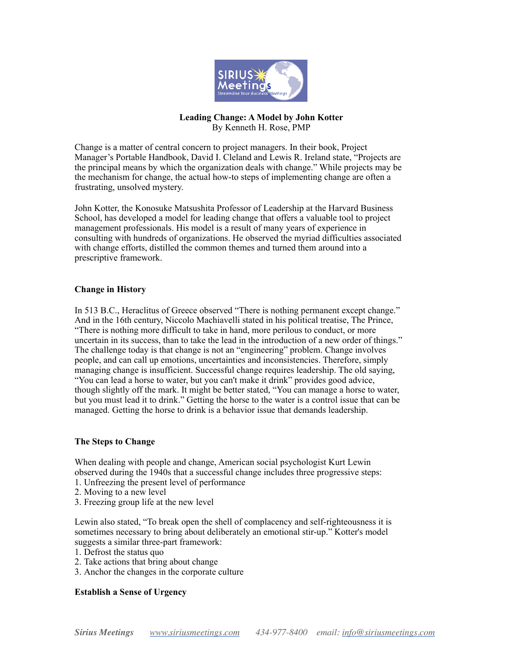

### **Leading Change: A Model by John Kotter** By Kenneth H. Rose, PMP

Change is a matter of central concern to project managers. In their book, Project Manager's Portable Handbook, David I. Cleland and Lewis R. Ireland state, "Projects are the principal means by which the organization deals with change." While projects may be the mechanism for change, the actual how-to steps of implementing change are often a frustrating, unsolved mystery.

John Kotter, the Konosuke Matsushita Professor of Leadership at the Harvard Business School, has developed a model for leading change that offers a valuable tool to project management professionals. His model is a result of many years of experience in consulting with hundreds of organizations. He observed the myriad difficulties associated with change efforts, distilled the common themes and turned them around into a prescriptive framework.

# **Change in History**

In 513 B.C., Heraclitus of Greece observed "There is nothing permanent except change." And in the 16th century, Niccolo Machiavelli stated in his political treatise, The Prince, "There is nothing more difficult to take in hand, more perilous to conduct, or more uncertain in its success, than to take the lead in the introduction of a new order of things." The challenge today is that change is not an "engineering" problem. Change involves people, and can call up emotions, uncertainties and inconsistencies. Therefore, simply managing change is insufficient. Successful change requires leadership. The old saying, "You can lead a horse to water, but you can't make it drink" provides good advice, though slightly off the mark. It might be better stated, "You can manage a horse to water, but you must lead it to drink." Getting the horse to the water is a control issue that can be managed. Getting the horse to drink is a behavior issue that demands leadership.

# **The Steps to Change**

When dealing with people and change, American social psychologist Kurt Lewin observed during the 1940s that a successful change includes three progressive steps:

- 1. Unfreezing the present level of performance
- 2. Moving to a new level
- 3. Freezing group life at the new level

Lewin also stated, "To break open the shell of complacency and self-righteousness it is sometimes necessary to bring about deliberately an emotional stir-up." Kotter's model suggests a similar three-part framework:

- 1. Defrost the status quo
- 2. Take actions that bring about change
- 3. Anchor the changes in the corporate culture

# **Establish a Sense of Urgency**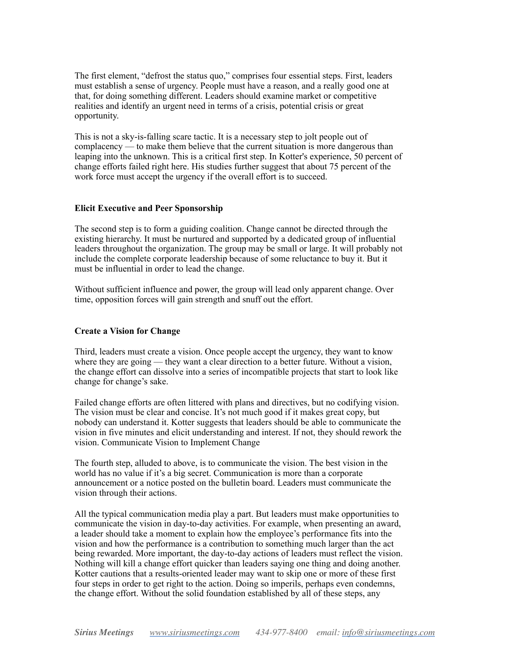The first element, "defrost the status quo," comprises four essential steps. First, leaders must establish a sense of urgency. People must have a reason, and a really good one at that, for doing something different. Leaders should examine market or competitive realities and identify an urgent need in terms of a crisis, potential crisis or great opportunity.

This is not a sky-is-falling scare tactic. It is a necessary step to jolt people out of complacency — to make them believe that the current situation is more dangerous than leaping into the unknown. This is a critical first step. In Kotter's experience, 50 percent of change efforts failed right here. His studies further suggest that about 75 percent of the work force must accept the urgency if the overall effort is to succeed.

## **Elicit Executive and Peer Sponsorship**

The second step is to form a guiding coalition. Change cannot be directed through the existing hierarchy. It must be nurtured and supported by a dedicated group of influential leaders throughout the organization. The group may be small or large. It will probably not include the complete corporate leadership because of some reluctance to buy it. But it must be influential in order to lead the change.

Without sufficient influence and power, the group will lead only apparent change. Over time, opposition forces will gain strength and snuff out the effort.

### **Create a Vision for Change**

Third, leaders must create a vision. Once people accept the urgency, they want to know where they are going — they want a clear direction to a better future. Without a vision, the change effort can dissolve into a series of incompatible projects that start to look like change for change's sake.

Failed change efforts are often littered with plans and directives, but no codifying vision. The vision must be clear and concise. It's not much good if it makes great copy, but nobody can understand it. Kotter suggests that leaders should be able to communicate the vision in five minutes and elicit understanding and interest. If not, they should rework the vision. Communicate Vision to Implement Change

The fourth step, alluded to above, is to communicate the vision. The best vision in the world has no value if it's a big secret. Communication is more than a corporate announcement or a notice posted on the bulletin board. Leaders must communicate the vision through their actions.

All the typical communication media play a part. But leaders must make opportunities to communicate the vision in day-to-day activities. For example, when presenting an award, a leader should take a moment to explain how the employee's performance fits into the vision and how the performance is a contribution to something much larger than the act being rewarded. More important, the day-to-day actions of leaders must reflect the vision. Nothing will kill a change effort quicker than leaders saying one thing and doing another. Kotter cautions that a results-oriented leader may want to skip one or more of these first four steps in order to get right to the action. Doing so imperils, perhaps even condemns, the change effort. Without the solid foundation established by all of these steps, any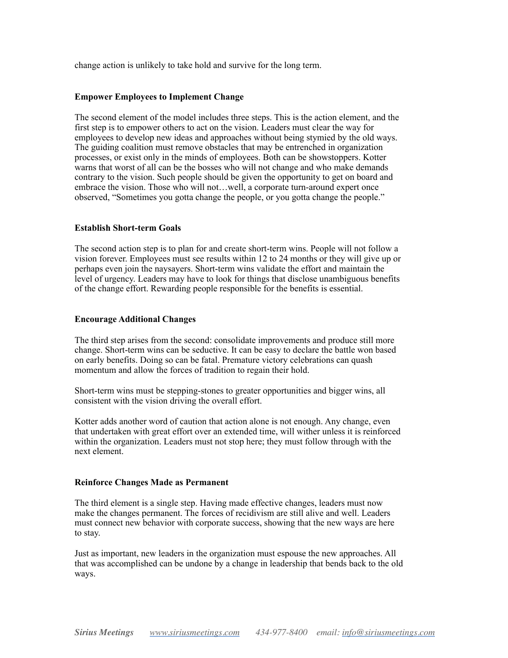change action is unlikely to take hold and survive for the long term.

### **Empower Employees to Implement Change**

The second element of the model includes three steps. This is the action element, and the first step is to empower others to act on the vision. Leaders must clear the way for employees to develop new ideas and approaches without being stymied by the old ways. The guiding coalition must remove obstacles that may be entrenched in organization processes, or exist only in the minds of employees. Both can be showstoppers. Kotter warns that worst of all can be the bosses who will not change and who make demands contrary to the vision. Such people should be given the opportunity to get on board and embrace the vision. Those who will not…well, a corporate turn-around expert once observed, "Sometimes you gotta change the people, or you gotta change the people."

## **Establish Short-term Goals**

The second action step is to plan for and create short-term wins. People will not follow a vision forever. Employees must see results within 12 to 24 months or they will give up or perhaps even join the naysayers. Short-term wins validate the effort and maintain the level of urgency. Leaders may have to look for things that disclose unambiguous benefits of the change effort. Rewarding people responsible for the benefits is essential.

#### **Encourage Additional Changes**

The third step arises from the second: consolidate improvements and produce still more change. Short-term wins can be seductive. It can be easy to declare the battle won based on early benefits. Doing so can be fatal. Premature victory celebrations can quash momentum and allow the forces of tradition to regain their hold.

Short-term wins must be stepping-stones to greater opportunities and bigger wins, all consistent with the vision driving the overall effort.

Kotter adds another word of caution that action alone is not enough. Any change, even that undertaken with great effort over an extended time, will wither unless it is reinforced within the organization. Leaders must not stop here; they must follow through with the next element.

#### **Reinforce Changes Made as Permanent**

The third element is a single step. Having made effective changes, leaders must now make the changes permanent. The forces of recidivism are still alive and well. Leaders must connect new behavior with corporate success, showing that the new ways are here to stay.

Just as important, new leaders in the organization must espouse the new approaches. All that was accomplished can be undone by a change in leadership that bends back to the old ways.